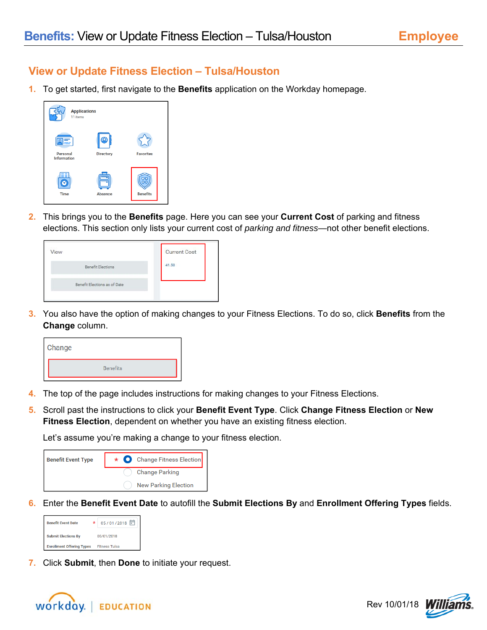## **View or Update Fitness Election – Tulsa/Houston**

**1.** To get started, first navigate to the **Benefits** application on the Workday homepage.

| <b>Applications</b><br>11 items |                |                  |
|---------------------------------|----------------|------------------|
| Personal                        | Directory      | <b>Favorites</b> |
| <b>Information</b><br>≡≡        |                |                  |
| <b>Time</b>                     | <b>Absence</b> | <b>Benefits</b>  |

**2.** This brings you to the **Benefits** page. Here you can see your **Current Cost** of parking and fitness elections. This section only lists your current cost of *parking and fitness*—not other benefit elections.

| <b>Current Cost</b> |
|---------------------|
| 41.50               |
|                     |
|                     |

**3.** You also have the option of making changes to your Fitness Elections. To do so, click **Benefits** from the **Change** column.



- **4.** The top of the page includes instructions for making changes to your Fitness Elections.
- **5.** Scroll past the instructions to click your **Benefit Event Type**. Click **Change Fitness Election** or **New Fitness Election**, dependent on whether you have an existing fitness election.

Let's assume you're making a change to your fitness election.



**6.** Enter the **Benefit Event Date** to autofill the **Submit Elections By** and **Enrollment Offering Types** fields.

| <b>Benefit Event Date</b>                | 05/01/2018<br>÷      |  |  |
|------------------------------------------|----------------------|--|--|
| <b>Submit Elections By</b><br>05/01/2018 |                      |  |  |
| <b>Enrollment Offering Types</b>         | <b>Fitness Tulsa</b> |  |  |

**7.** Click **Submit**, then **Done** to initiate your request.